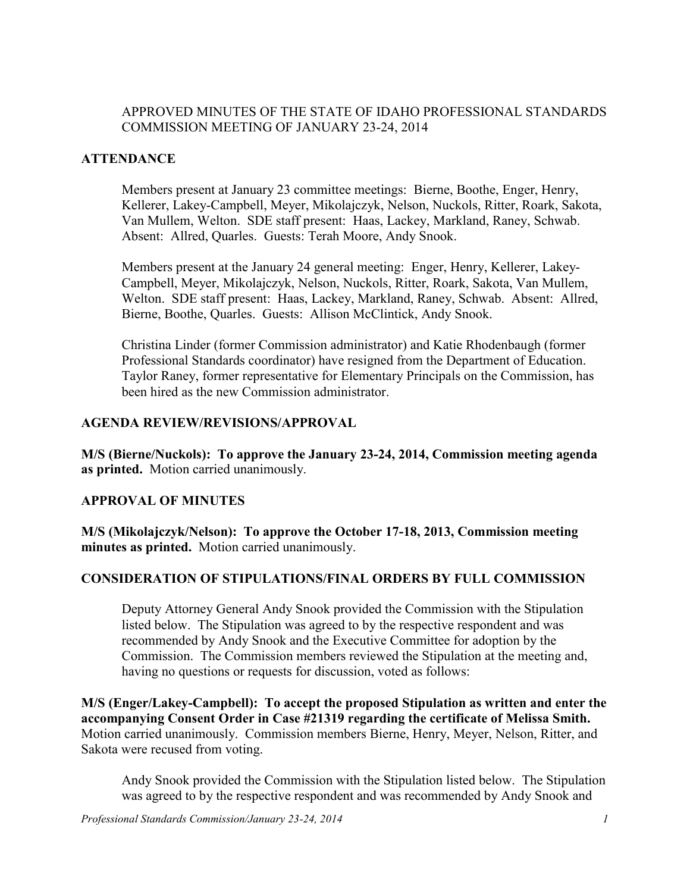### APPROVED MINUTES OF THE STATE OF IDAHO PROFESSIONAL STANDARDS COMMISSION MEETING OF JANUARY 23-24, 2014

#### **ATTENDANCE**

Members present at January 23 committee meetings: Bierne, Boothe, Enger, Henry, Kellerer, Lakey-Campbell, Meyer, Mikolajczyk, Nelson, Nuckols, Ritter, Roark, Sakota, Van Mullem, Welton. SDE staff present: Haas, Lackey, Markland, Raney, Schwab. Absent: Allred, Quarles. Guests: Terah Moore, Andy Snook.

Members present at the January 24 general meeting: Enger, Henry, Kellerer, Lakey-Campbell, Meyer, Mikolajczyk, Nelson, Nuckols, Ritter, Roark, Sakota, Van Mullem, Welton. SDE staff present: Haas, Lackey, Markland, Raney, Schwab. Absent: Allred, Bierne, Boothe, Quarles. Guests: Allison McClintick, Andy Snook.

Christina Linder (former Commission administrator) and Katie Rhodenbaugh (former Professional Standards coordinator) have resigned from the Department of Education. Taylor Raney, former representative for Elementary Principals on the Commission, has been hired as the new Commission administrator.

#### **AGENDA REVIEW/REVISIONS/APPROVAL**

**M/S (Bierne/Nuckols): To approve the January 23-24, 2014, Commission meeting agenda as printed.** Motion carried unanimously.

### **APPROVAL OF MINUTES**

**M/S (Mikolajczyk/Nelson): To approve the October 17-18, 2013, Commission meeting minutes as printed.** Motion carried unanimously.

### **CONSIDERATION OF STIPULATIONS/FINAL ORDERS BY FULL COMMISSION**

Deputy Attorney General Andy Snook provided the Commission with the Stipulation listed below. The Stipulation was agreed to by the respective respondent and was recommended by Andy Snook and the Executive Committee for adoption by the Commission. The Commission members reviewed the Stipulation at the meeting and, having no questions or requests for discussion, voted as follows:

**M/S (Enger/Lakey-Campbell): To accept the proposed Stipulation as written and enter the accompanying Consent Order in Case #21319 regarding the certificate of Melissa Smith.**  Motion carried unanimously. Commission members Bierne, Henry, Meyer, Nelson, Ritter, and Sakota were recused from voting.

Andy Snook provided the Commission with the Stipulation listed below. The Stipulation was agreed to by the respective respondent and was recommended by Andy Snook and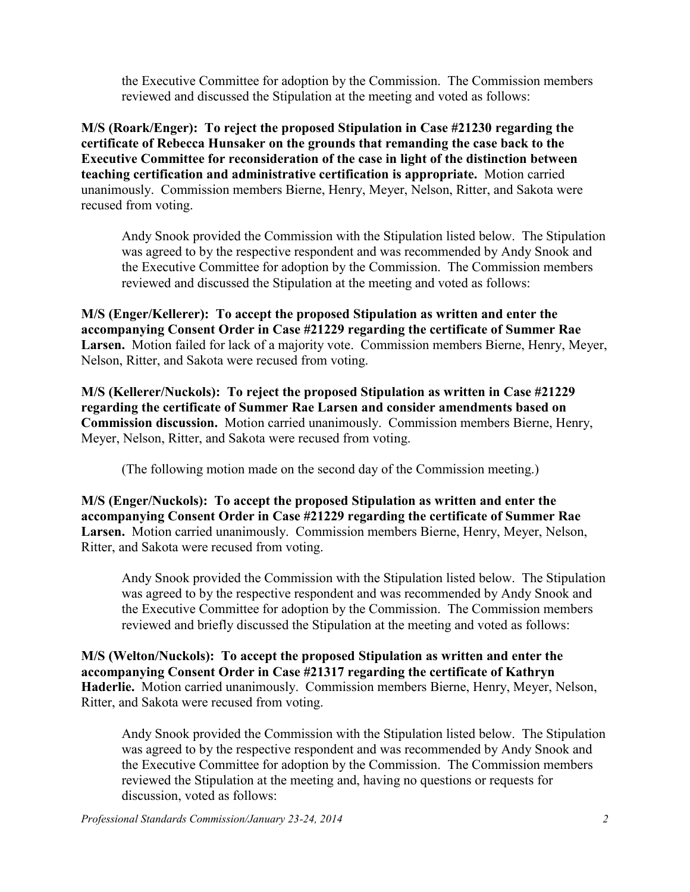the Executive Committee for adoption by the Commission. The Commission members reviewed and discussed the Stipulation at the meeting and voted as follows:

**M/S (Roark/Enger): To reject the proposed Stipulation in Case #21230 regarding the certificate of Rebecca Hunsaker on the grounds that remanding the case back to the Executive Committee for reconsideration of the case in light of the distinction between teaching certification and administrative certification is appropriate.** Motion carried unanimously. Commission members Bierne, Henry, Meyer, Nelson, Ritter, and Sakota were recused from voting.

Andy Snook provided the Commission with the Stipulation listed below. The Stipulation was agreed to by the respective respondent and was recommended by Andy Snook and the Executive Committee for adoption by the Commission. The Commission members reviewed and discussed the Stipulation at the meeting and voted as follows:

**M/S (Enger/Kellerer): To accept the proposed Stipulation as written and enter the accompanying Consent Order in Case #21229 regarding the certificate of Summer Rae Larsen.** Motion failed for lack of a majority vote. Commission members Bierne, Henry, Meyer, Nelson, Ritter, and Sakota were recused from voting.

**M/S (Kellerer/Nuckols): To reject the proposed Stipulation as written in Case #21229 regarding the certificate of Summer Rae Larsen and consider amendments based on Commission discussion.** Motion carried unanimously. Commission members Bierne, Henry, Meyer, Nelson, Ritter, and Sakota were recused from voting.

(The following motion made on the second day of the Commission meeting.)

**M/S (Enger/Nuckols): To accept the proposed Stipulation as written and enter the accompanying Consent Order in Case #21229 regarding the certificate of Summer Rae Larsen.** Motion carried unanimously. Commission members Bierne, Henry, Meyer, Nelson, Ritter, and Sakota were recused from voting.

Andy Snook provided the Commission with the Stipulation listed below. The Stipulation was agreed to by the respective respondent and was recommended by Andy Snook and the Executive Committee for adoption by the Commission. The Commission members reviewed and briefly discussed the Stipulation at the meeting and voted as follows:

**M/S (Welton/Nuckols): To accept the proposed Stipulation as written and enter the accompanying Consent Order in Case #21317 regarding the certificate of Kathryn Haderlie.** Motion carried unanimously. Commission members Bierne, Henry, Meyer, Nelson, Ritter, and Sakota were recused from voting.

Andy Snook provided the Commission with the Stipulation listed below. The Stipulation was agreed to by the respective respondent and was recommended by Andy Snook and the Executive Committee for adoption by the Commission. The Commission members reviewed the Stipulation at the meeting and, having no questions or requests for discussion, voted as follows: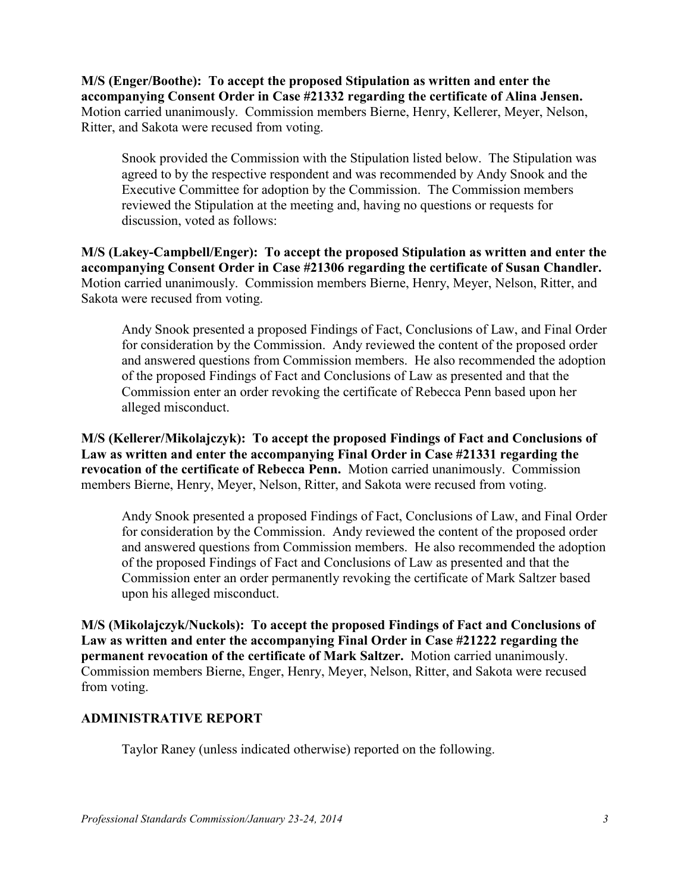**M/S (Enger/Boothe): To accept the proposed Stipulation as written and enter the accompanying Consent Order in Case #21332 regarding the certificate of Alina Jensen.**  Motion carried unanimously. Commission members Bierne, Henry, Kellerer, Meyer, Nelson, Ritter, and Sakota were recused from voting.

Snook provided the Commission with the Stipulation listed below. The Stipulation was agreed to by the respective respondent and was recommended by Andy Snook and the Executive Committee for adoption by the Commission. The Commission members reviewed the Stipulation at the meeting and, having no questions or requests for discussion, voted as follows:

**M/S (Lakey-Campbell/Enger): To accept the proposed Stipulation as written and enter the accompanying Consent Order in Case #21306 regarding the certificate of Susan Chandler.**  Motion carried unanimously. Commission members Bierne, Henry, Meyer, Nelson, Ritter, and Sakota were recused from voting.

 Andy Snook presented a proposed Findings of Fact, Conclusions of Law, and Final Order for consideration by the Commission. Andy reviewed the content of the proposed order and answered questions from Commission members. He also recommended the adoption of the proposed Findings of Fact and Conclusions of Law as presented and that the Commission enter an order revoking the certificate of Rebecca Penn based upon her alleged misconduct.

**M/S (Kellerer/Mikolajczyk): To accept the proposed Findings of Fact and Conclusions of Law as written and enter the accompanying Final Order in Case #21331 regarding the revocation of the certificate of Rebecca Penn.** Motion carried unanimously. Commission members Bierne, Henry, Meyer, Nelson, Ritter, and Sakota were recused from voting.

 Andy Snook presented a proposed Findings of Fact, Conclusions of Law, and Final Order for consideration by the Commission. Andy reviewed the content of the proposed order and answered questions from Commission members. He also recommended the adoption of the proposed Findings of Fact and Conclusions of Law as presented and that the Commission enter an order permanently revoking the certificate of Mark Saltzer based upon his alleged misconduct.

**M/S (Mikolajczyk/Nuckols): To accept the proposed Findings of Fact and Conclusions of Law as written and enter the accompanying Final Order in Case #21222 regarding the permanent revocation of the certificate of Mark Saltzer.** Motion carried unanimously. Commission members Bierne, Enger, Henry, Meyer, Nelson, Ritter, and Sakota were recused from voting.

### **ADMINISTRATIVE REPORT**

Taylor Raney (unless indicated otherwise) reported on the following.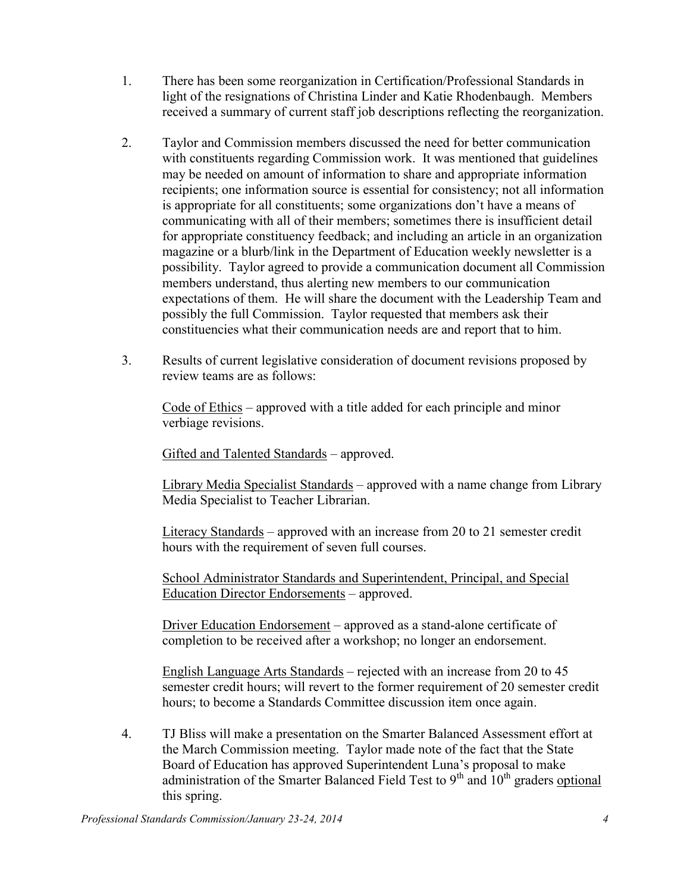- 1. There has been some reorganization in Certification/Professional Standards in light of the resignations of Christina Linder and Katie Rhodenbaugh. Members received a summary of current staff job descriptions reflecting the reorganization.
- 2. Taylor and Commission members discussed the need for better communication with constituents regarding Commission work. It was mentioned that guidelines may be needed on amount of information to share and appropriate information recipients; one information source is essential for consistency; not all information is appropriate for all constituents; some organizations don't have a means of communicating with all of their members; sometimes there is insufficient detail for appropriate constituency feedback; and including an article in an organization magazine or a blurb/link in the Department of Education weekly newsletter is a possibility. Taylor agreed to provide a communication document all Commission members understand, thus alerting new members to our communication expectations of them. He will share the document with the Leadership Team and possibly the full Commission. Taylor requested that members ask their constituencies what their communication needs are and report that to him.
- 3. Results of current legislative consideration of document revisions proposed by review teams are as follows:

Code of Ethics – approved with a title added for each principle and minor verbiage revisions.

Gifted and Talented Standards – approved.

Library Media Specialist Standards – approved with a name change from Library Media Specialist to Teacher Librarian.

Literacy Standards – approved with an increase from 20 to 21 semester credit hours with the requirement of seven full courses.

School Administrator Standards and Superintendent, Principal, and Special Education Director Endorsements – approved.

Driver Education Endorsement – approved as a stand-alone certificate of completion to be received after a workshop; no longer an endorsement.

English Language Arts Standards – rejected with an increase from 20 to 45 semester credit hours; will revert to the former requirement of 20 semester credit hours; to become a Standards Committee discussion item once again.

4. TJ Bliss will make a presentation on the Smarter Balanced Assessment effort at the March Commission meeting. Taylor made note of the fact that the State Board of Education has approved Superintendent Luna's proposal to make administration of the Smarter Balanced Field Test to  $9<sup>th</sup>$  and  $10<sup>th</sup>$  graders optional this spring.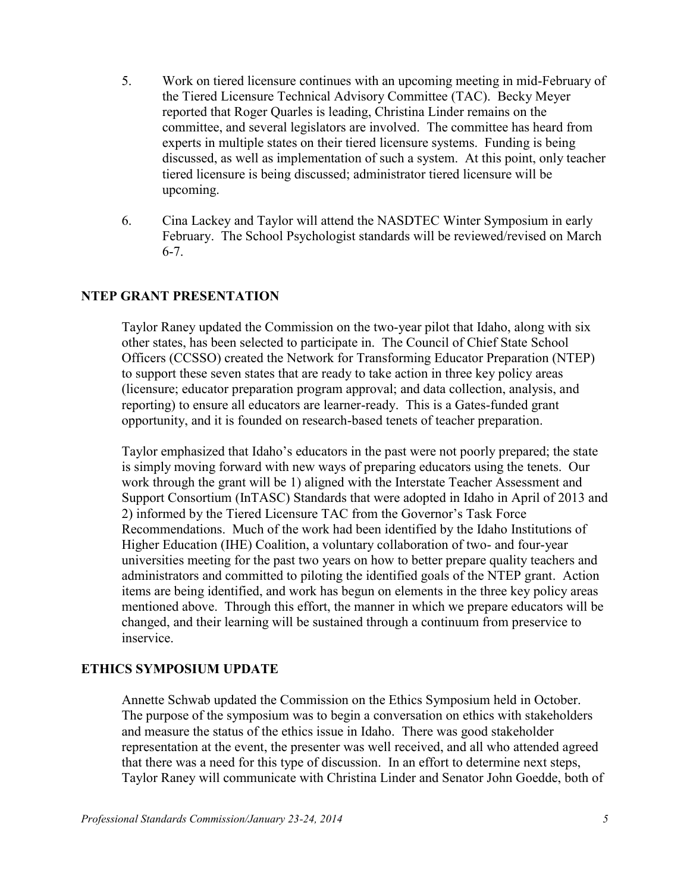- 5. Work on tiered licensure continues with an upcoming meeting in mid-February of the Tiered Licensure Technical Advisory Committee (TAC). Becky Meyer reported that Roger Quarles is leading, Christina Linder remains on the committee, and several legislators are involved. The committee has heard from experts in multiple states on their tiered licensure systems. Funding is being discussed, as well as implementation of such a system. At this point, only teacher tiered licensure is being discussed; administrator tiered licensure will be upcoming.
- 6. Cina Lackey and Taylor will attend the NASDTEC Winter Symposium in early February. The School Psychologist standards will be reviewed/revised on March 6-7.

#### **NTEP GRANT PRESENTATION**

Taylor Raney updated the Commission on the two-year pilot that Idaho, along with six other states, has been selected to participate in. The Council of Chief State School Officers (CCSSO) created the Network for Transforming Educator Preparation (NTEP) to support these seven states that are ready to take action in three key policy areas (licensure; educator preparation program approval; and data collection, analysis, and reporting) to ensure all educators are learner-ready. This is a Gates-funded grant opportunity, and it is founded on research-based tenets of teacher preparation.

Taylor emphasized that Idaho's educators in the past were not poorly prepared; the state is simply moving forward with new ways of preparing educators using the tenets. Our work through the grant will be 1) aligned with the Interstate Teacher Assessment and Support Consortium (InTASC) Standards that were adopted in Idaho in April of 2013 and 2) informed by the Tiered Licensure TAC from the Governor's Task Force Recommendations. Much of the work had been identified by the Idaho Institutions of Higher Education (IHE) Coalition, a voluntary collaboration of two- and four-year universities meeting for the past two years on how to better prepare quality teachers and administrators and committed to piloting the identified goals of the NTEP grant. Action items are being identified, and work has begun on elements in the three key policy areas mentioned above. Through this effort, the manner in which we prepare educators will be changed, and their learning will be sustained through a continuum from preservice to inservice.

#### **ETHICS SYMPOSIUM UPDATE**

Annette Schwab updated the Commission on the Ethics Symposium held in October. The purpose of the symposium was to begin a conversation on ethics with stakeholders and measure the status of the ethics issue in Idaho. There was good stakeholder representation at the event, the presenter was well received, and all who attended agreed that there was a need for this type of discussion. In an effort to determine next steps, Taylor Raney will communicate with Christina Linder and Senator John Goedde, both of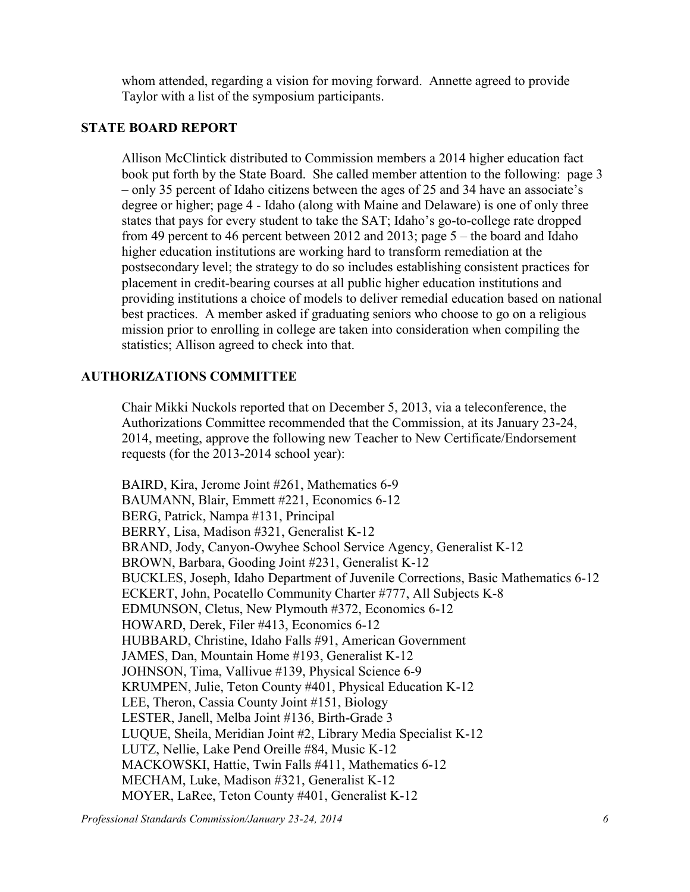whom attended, regarding a vision for moving forward. Annette agreed to provide Taylor with a list of the symposium participants.

#### **STATE BOARD REPORT**

Allison McClintick distributed to Commission members a 2014 higher education fact book put forth by the State Board. She called member attention to the following: page 3 – only 35 percent of Idaho citizens between the ages of 25 and 34 have an associate's degree or higher; page 4 - Idaho (along with Maine and Delaware) is one of only three states that pays for every student to take the SAT; Idaho's go-to-college rate dropped from 49 percent to 46 percent between 2012 and 2013; page 5 – the board and Idaho higher education institutions are working hard to transform remediation at the postsecondary level; the strategy to do so includes establishing consistent practices for placement in credit-bearing courses at all public higher education institutions and providing institutions a choice of models to deliver remedial education based on national best practices. A member asked if graduating seniors who choose to go on a religious mission prior to enrolling in college are taken into consideration when compiling the statistics; Allison agreed to check into that.

### **AUTHORIZATIONS COMMITTEE**

Chair Mikki Nuckols reported that on December 5, 2013, via a teleconference, the Authorizations Committee recommended that the Commission, at its January 23-24, 2014, meeting, approve the following new Teacher to New Certificate/Endorsement requests (for the 2013-2014 school year):

BAIRD, Kira, Jerome Joint #261, Mathematics 6-9 BAUMANN, Blair, Emmett #221, Economics 6-12 BERG, Patrick, Nampa #131, Principal BERRY, Lisa, Madison #321, Generalist K-12 BRAND, Jody, Canyon-Owyhee School Service Agency, Generalist K-12 BROWN, Barbara, Gooding Joint #231, Generalist K-12 BUCKLES, Joseph, Idaho Department of Juvenile Corrections, Basic Mathematics 6-12 ECKERT, John, Pocatello Community Charter #777, All Subjects K-8 EDMUNSON, Cletus, New Plymouth #372, Economics 6-12 HOWARD, Derek, Filer #413, Economics 6-12 HUBBARD, Christine, Idaho Falls #91, American Government JAMES, Dan, Mountain Home #193, Generalist K-12 JOHNSON, Tima, Vallivue #139, Physical Science 6-9 KRUMPEN, Julie, Teton County #401, Physical Education K-12 LEE, Theron, Cassia County Joint #151, Biology LESTER, Janell, Melba Joint #136, Birth-Grade 3 LUQUE, Sheila, Meridian Joint #2, Library Media Specialist K-12 LUTZ, Nellie, Lake Pend Oreille #84, Music K-12 MACKOWSKI, Hattie, Twin Falls #411, Mathematics 6-12 MECHAM, Luke, Madison #321, Generalist K-12 MOYER, LaRee, Teton County #401, Generalist K-12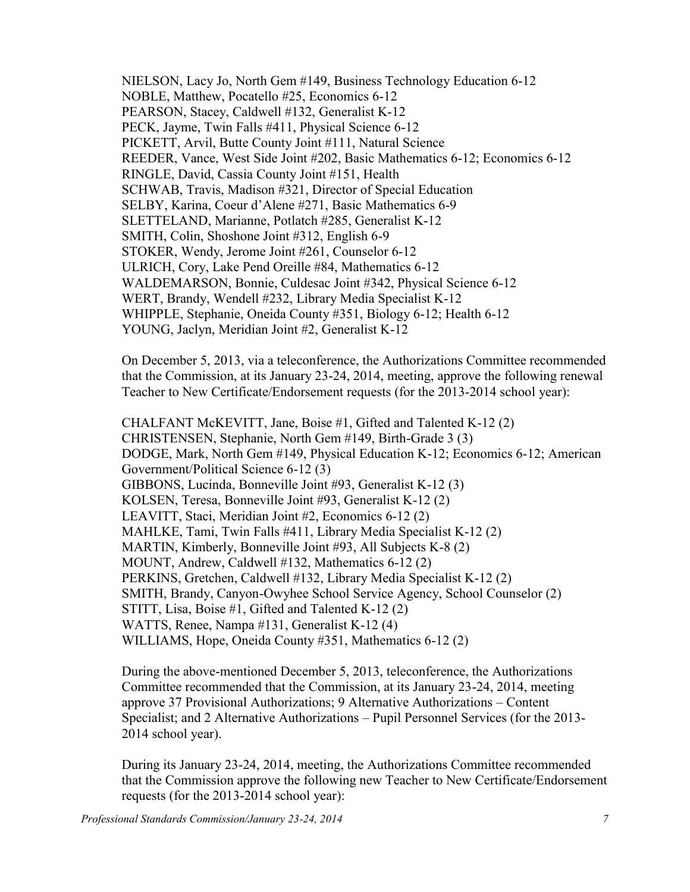NIELSON, Lacy Jo, North Gem #149, Business Technology Education 6-12 NOBLE, Matthew, Pocatello #25, Economics 6-12 PEARSON, Stacey, Caldwell #132, Generalist K-12 PECK, Jayme, Twin Falls #411, Physical Science 6-12 PICKETT, Arvil, Butte County Joint #111, Natural Science REEDER, Vance, West Side Joint #202, Basic Mathematics 6-12; Economics 6-12 RINGLE, David, Cassia County Joint #151, Health SCHWAB, Travis, Madison #321, Director of Special Education SELBY, Karina, Coeur d'Alene #271, Basic Mathematics 6-9 SLETTELAND, Marianne, Potlatch #285, Generalist K-12 SMITH, Colin, Shoshone Joint #312, English 6-9 STOKER, Wendy, Jerome Joint #261, Counselor 6-12 ULRICH, Cory, Lake Pend Oreille #84, Mathematics 6-12 WALDEMARSON, Bonnie, Culdesac Joint #342, Physical Science 6-12 WERT, Brandy, Wendell #232, Library Media Specialist K-12 WHIPPLE, Stephanie, Oneida County #351, Biology 6-12; Health 6-12 YOUNG, Jaclyn, Meridian Joint #2, Generalist K-12

On December 5, 2013, via a teleconference, the Authorizations Committee recommended that the Commission, at its January 23-24, 2014, meeting, approve the following renewal Teacher to New Certificate/Endorsement requests (for the 2013-2014 school year):

CHALFANT McKEVITT, Jane, Boise #1, Gifted and Talented K-12 (2) CHRISTENSEN, Stephanie, North Gem #149, Birth-Grade 3 (3) DODGE, Mark, North Gem #149, Physical Education K-12; Economics 6-12; American Government/Political Science 6-12 (3) GIBBONS, Lucinda, Bonneville Joint #93, Generalist K-12 (3) KOLSEN, Teresa, Bonneville Joint #93, Generalist K-12 (2) LEAVITT, Staci, Meridian Joint #2, Economics 6-12 (2) MAHLKE, Tami, Twin Falls #411, Library Media Specialist K-12 (2) MARTIN, Kimberly, Bonneville Joint #93, All Subjects K-8 (2) MOUNT, Andrew, Caldwell #132, Mathematics 6-12 (2) PERKINS, Gretchen, Caldwell #132, Library Media Specialist K-12 (2) SMITH, Brandy, Canyon-Owyhee School Service Agency, School Counselor (2) STITT, Lisa, Boise #1, Gifted and Talented K-12 (2) WATTS, Renee, Nampa #131, Generalist K-12 (4) WILLIAMS, Hope, Oneida County #351, Mathematics 6-12 (2)

During the above-mentioned December 5, 2013, teleconference, the Authorizations Committee recommended that the Commission, at its January 23-24, 2014, meeting approve 37 Provisional Authorizations; 9 Alternative Authorizations – Content Specialist; and 2 Alternative Authorizations – Pupil Personnel Services (for the 2013- 2014 school year).

During its January 23-24, 2014, meeting, the Authorizations Committee recommended that the Commission approve the following new Teacher to New Certificate/Endorsement requests (for the 2013-2014 school year):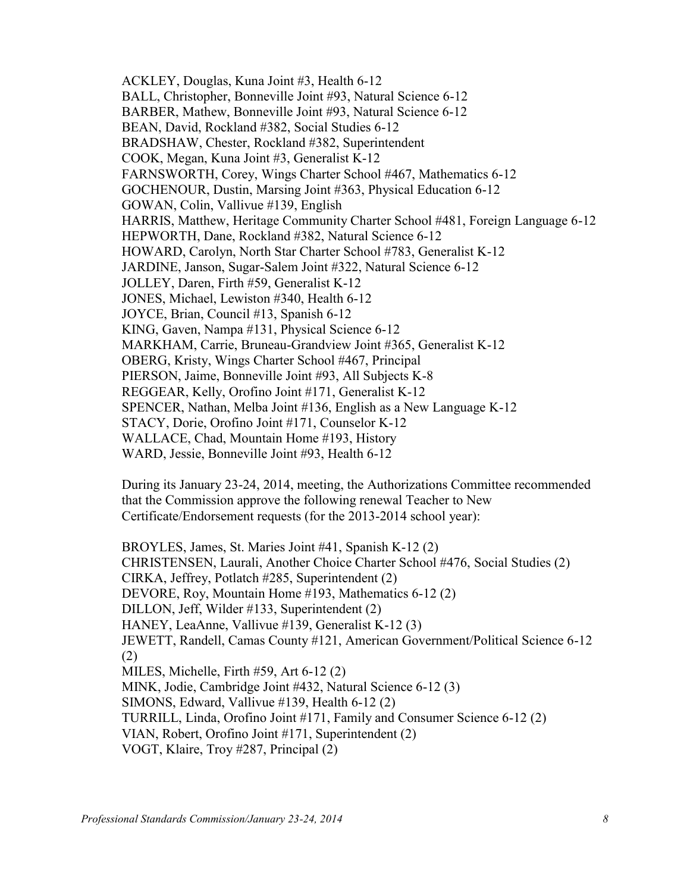ACKLEY, Douglas, Kuna Joint #3, Health 6-12 BALL, Christopher, Bonneville Joint #93, Natural Science 6-12 BARBER, Mathew, Bonneville Joint #93, Natural Science 6-12 BEAN, David, Rockland #382, Social Studies 6-12 BRADSHAW, Chester, Rockland #382, Superintendent COOK, Megan, Kuna Joint #3, Generalist K-12 FARNSWORTH, Corey, Wings Charter School #467, Mathematics 6-12 GOCHENOUR, Dustin, Marsing Joint #363, Physical Education 6-12 GOWAN, Colin, Vallivue #139, English HARRIS, Matthew, Heritage Community Charter School #481, Foreign Language 6-12 HEPWORTH, Dane, Rockland #382, Natural Science 6-12 HOWARD, Carolyn, North Star Charter School #783, Generalist K-12 JARDINE, Janson, Sugar-Salem Joint #322, Natural Science 6-12 JOLLEY, Daren, Firth #59, Generalist K-12 JONES, Michael, Lewiston #340, Health 6-12 JOYCE, Brian, Council #13, Spanish 6-12 KING, Gaven, Nampa #131, Physical Science 6-12 MARKHAM, Carrie, Bruneau-Grandview Joint #365, Generalist K-12 OBERG, Kristy, Wings Charter School #467, Principal PIERSON, Jaime, Bonneville Joint #93, All Subjects K-8 REGGEAR, Kelly, Orofino Joint #171, Generalist K-12 SPENCER, Nathan, Melba Joint #136, English as a New Language K-12 STACY, Dorie, Orofino Joint #171, Counselor K-12 WALLACE, Chad, Mountain Home #193, History WARD, Jessie, Bonneville Joint #93, Health 6-12

During its January 23-24, 2014, meeting, the Authorizations Committee recommended that the Commission approve the following renewal Teacher to New Certificate/Endorsement requests (for the 2013-2014 school year):

BROYLES, James, St. Maries Joint #41, Spanish K-12 (2) CHRISTENSEN, Laurali, Another Choice Charter School #476, Social Studies (2) CIRKA, Jeffrey, Potlatch #285, Superintendent (2) DEVORE, Roy, Mountain Home #193, Mathematics 6-12 (2) DILLON, Jeff, Wilder #133, Superintendent (2) HANEY, LeaAnne, Vallivue #139, Generalist K-12 (3) JEWETT, Randell, Camas County #121, American Government/Political Science 6-12 (2) MILES, Michelle, Firth #59, Art 6-12 (2) MINK, Jodie, Cambridge Joint #432, Natural Science 6-12 (3) SIMONS, Edward, Vallivue #139, Health 6-12 (2) TURRILL, Linda, Orofino Joint #171, Family and Consumer Science 6-12 (2) VIAN, Robert, Orofino Joint #171, Superintendent (2) VOGT, Klaire, Troy #287, Principal (2)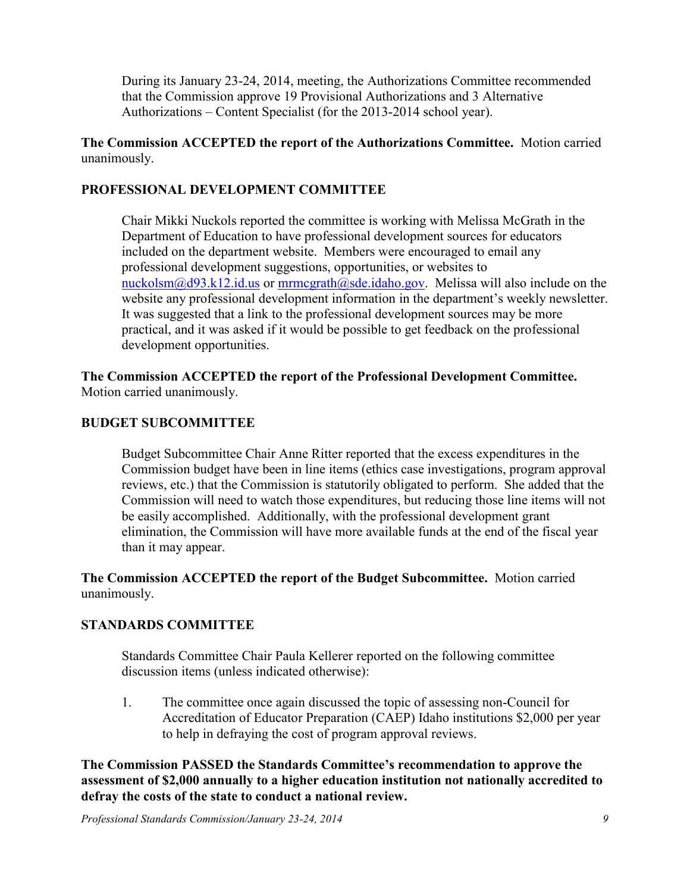During its January 23-24, 2014, meeting, the Authorizations Committee recommended that the Commission approve 19 Provisional Authorizations and 3 Alternative Authorizations – Content Specialist (for the 2013-2014 school year).

**The Commission ACCEPTED the report of the Authorizations Committee.** Motion carried unanimously.

## **PROFESSIONAL DEVELOPMENT COMMITTEE**

Chair Mikki Nuckols reported the committee is working with Melissa McGrath in the Department of Education to have professional development sources for educators included on the department website. Members were encouraged to email any professional development suggestions, opportunities, or websites to [nuckolsm@d93.k12.id.us](mailto:nuckolsm@d93.k12.id.us) or [mrmcgrath@sde.idaho.gov.](mailto:mrmcgrath@sde.idaho.gov) Melissa will also include on the website any professional development information in the department's weekly newsletter. It was suggested that a link to the professional development sources may be more practical, and it was asked if it would be possible to get feedback on the professional development opportunities.

**The Commission ACCEPTED the report of the Professional Development Committee.**  Motion carried unanimously.

### **BUDGET SUBCOMMITTEE**

Budget Subcommittee Chair Anne Ritter reported that the excess expenditures in the Commission budget have been in line items (ethics case investigations, program approval reviews, etc.) that the Commission is statutorily obligated to perform. She added that the Commission will need to watch those expenditures, but reducing those line items will not be easily accomplished. Additionally, with the professional development grant elimination, the Commission will have more available funds at the end of the fiscal year than it may appear.

**The Commission ACCEPTED the report of the Budget Subcommittee.** Motion carried unanimously.

## **STANDARDS COMMITTEE**

Standards Committee Chair Paula Kellerer reported on the following committee discussion items (unless indicated otherwise):

1. The committee once again discussed the topic of assessing non-Council for Accreditation of Educator Preparation (CAEP) Idaho institutions \$2,000 per year to help in defraying the cost of program approval reviews.

**The Commission PASSED the Standards Committee's recommendation to approve the assessment of \$2,000 annually to a higher education institution not nationally accredited to defray the costs of the state to conduct a national review.**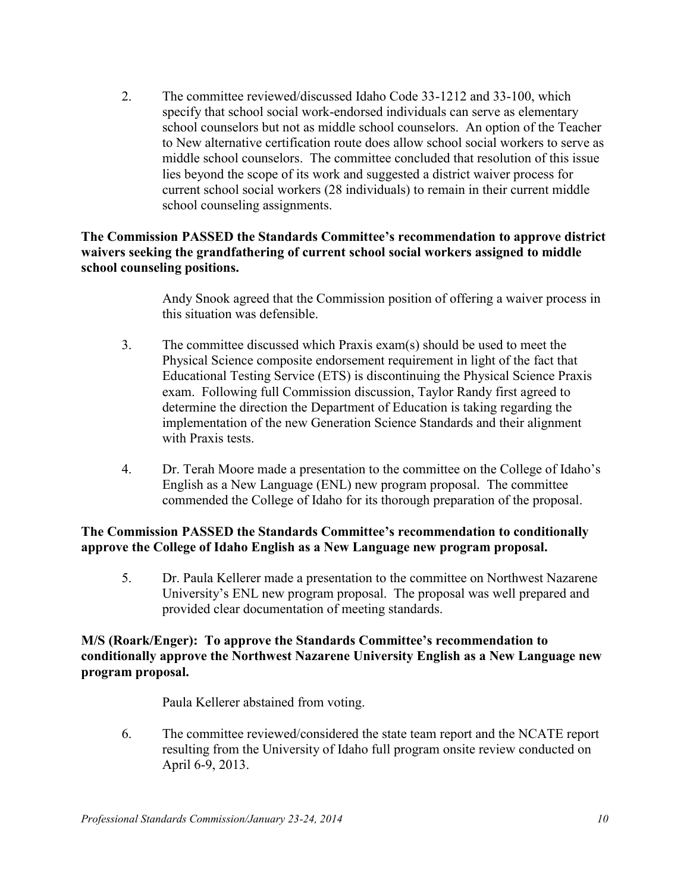2. The committee reviewed/discussed Idaho Code 33-1212 and 33-100, which specify that school social work-endorsed individuals can serve as elementary school counselors but not as middle school counselors. An option of the Teacher to New alternative certification route does allow school social workers to serve as middle school counselors. The committee concluded that resolution of this issue lies beyond the scope of its work and suggested a district waiver process for current school social workers (28 individuals) to remain in their current middle school counseling assignments.

#### **The Commission PASSED the Standards Committee's recommendation to approve district waivers seeking the grandfathering of current school social workers assigned to middle school counseling positions.**

Andy Snook agreed that the Commission position of offering a waiver process in this situation was defensible.

- 3. The committee discussed which Praxis exam(s) should be used to meet the Physical Science composite endorsement requirement in light of the fact that Educational Testing Service (ETS) is discontinuing the Physical Science Praxis exam. Following full Commission discussion, Taylor Randy first agreed to determine the direction the Department of Education is taking regarding the implementation of the new Generation Science Standards and their alignment with Praxis tests.
- 4. Dr. Terah Moore made a presentation to the committee on the College of Idaho's English as a New Language (ENL) new program proposal. The committee commended the College of Idaho for its thorough preparation of the proposal.

### **The Commission PASSED the Standards Committee's recommendation to conditionally approve the College of Idaho English as a New Language new program proposal.**

5. Dr. Paula Kellerer made a presentation to the committee on Northwest Nazarene University's ENL new program proposal. The proposal was well prepared and provided clear documentation of meeting standards.

#### **M/S (Roark/Enger): To approve the Standards Committee's recommendation to conditionally approve the Northwest Nazarene University English as a New Language new program proposal.**

Paula Kellerer abstained from voting.

6. The committee reviewed/considered the state team report and the NCATE report resulting from the University of Idaho full program onsite review conducted on April 6-9, 2013.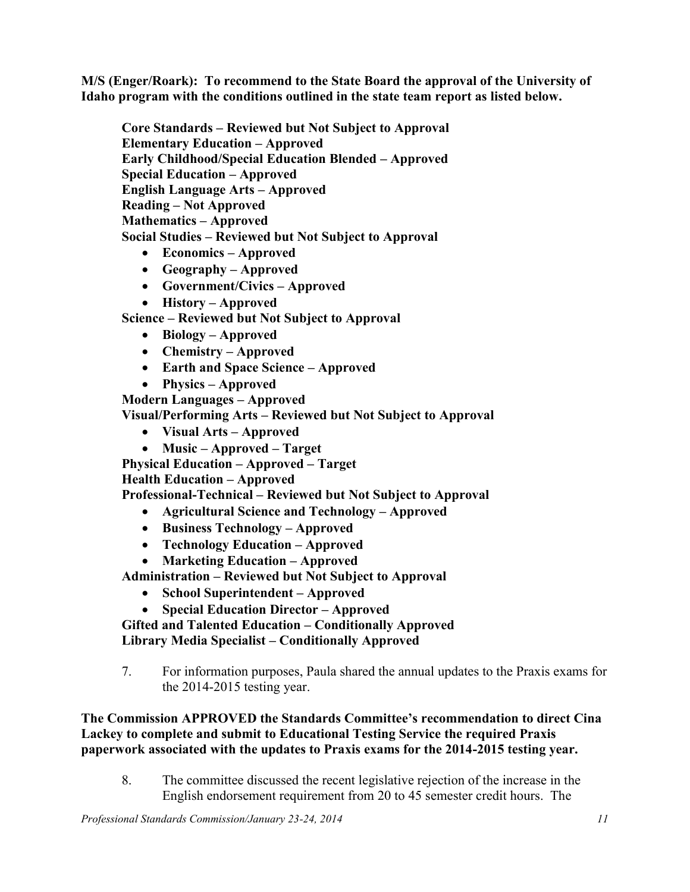**M/S (Enger/Roark): To recommend to the State Board the approval of the University of Idaho program with the conditions outlined in the state team report as listed below.** 

**Core Standards – Reviewed but Not Subject to Approval Elementary Education – Approved Early Childhood/Special Education Blended – Approved Special Education – Approved English Language Arts – Approved Reading – Not Approved Mathematics – Approved Social Studies – Reviewed but Not Subject to Approval**

- **Economics – Approved**
- **Geography – Approved**
- **Government/Civics – Approved**
- **History – Approved**

**Science – Reviewed but Not Subject to Approval**

- **Biology – Approved**
- **Chemistry – Approved**
- **Earth and Space Science – Approved**
- **Physics – Approved**

**Modern Languages – Approved**

**Visual/Performing Arts – Reviewed but Not Subject to Approval**

- **Visual Arts – Approved**
- **Music – Approved – Target**

**Physical Education – Approved – Target**

**Health Education – Approved**

**Professional-Technical – Reviewed but Not Subject to Approval**

- **Agricultural Science and Technology – Approved**
- **Business Technology – Approved**
- **Technology Education – Approved**
- **Marketing Education – Approved**

**Administration – Reviewed but Not Subject to Approval**

- **School Superintendent – Approved**
- **Special Education Director – Approved**

**Gifted and Talented Education – Conditionally Approved Library Media Specialist – Conditionally Approved**

#### **The Commission APPROVED the Standards Committee's recommendation to direct Cina Lackey to complete and submit to Educational Testing Service the required Praxis paperwork associated with the updates to Praxis exams for the 2014-2015 testing year.**

8. The committee discussed the recent legislative rejection of the increase in the English endorsement requirement from 20 to 45 semester credit hours. The

<sup>7.</sup> For information purposes, Paula shared the annual updates to the Praxis exams for the 2014-2015 testing year.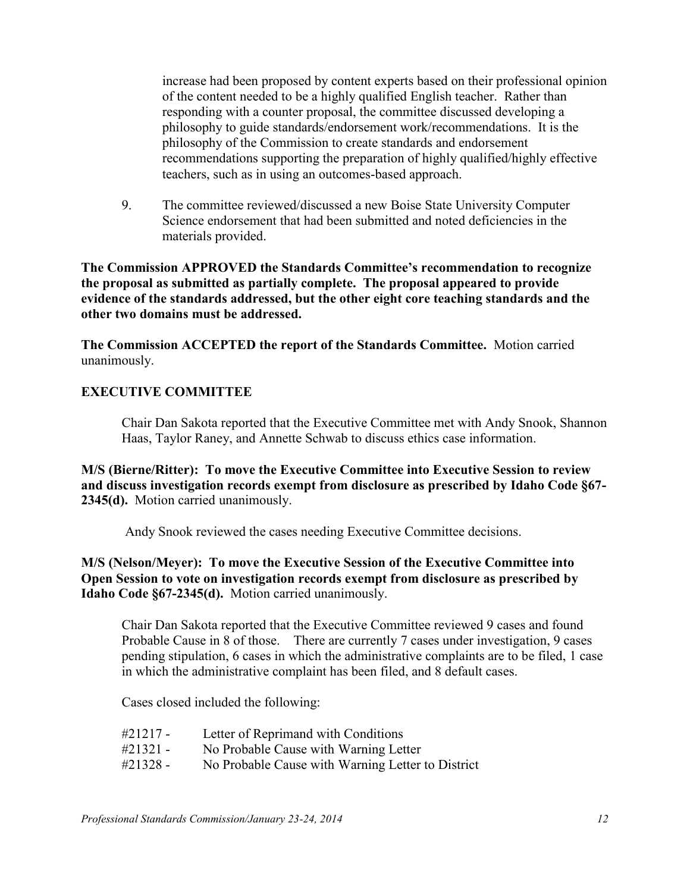increase had been proposed by content experts based on their professional opinion of the content needed to be a highly qualified English teacher. Rather than responding with a counter proposal, the committee discussed developing a philosophy to guide standards/endorsement work/recommendations. It is the philosophy of the Commission to create standards and endorsement recommendations supporting the preparation of highly qualified/highly effective teachers, such as in using an outcomes-based approach.

9. The committee reviewed/discussed a new Boise State University Computer Science endorsement that had been submitted and noted deficiencies in the materials provided.

**The Commission APPROVED the Standards Committee's recommendation to recognize the proposal as submitted as partially complete. The proposal appeared to provide evidence of the standards addressed, but the other eight core teaching standards and the other two domains must be addressed.** 

**The Commission ACCEPTED the report of the Standards Committee.** Motion carried unanimously.

### **EXECUTIVE COMMITTEE**

Chair Dan Sakota reported that the Executive Committee met with Andy Snook, Shannon Haas, Taylor Raney, and Annette Schwab to discuss ethics case information.

**M/S (Bierne/Ritter): To move the Executive Committee into Executive Session to review and discuss investigation records exempt from disclosure as prescribed by Idaho Code §67- 2345(d).** Motion carried unanimously.

Andy Snook reviewed the cases needing Executive Committee decisions.

#### **M/S (Nelson/Meyer): To move the Executive Session of the Executive Committee into Open Session to vote on investigation records exempt from disclosure as prescribed by Idaho Code §67-2345(d).** Motion carried unanimously.

Chair Dan Sakota reported that the Executive Committee reviewed 9 cases and found Probable Cause in 8 of those. There are currently 7 cases under investigation, 9 cases pending stipulation, 6 cases in which the administrative complaints are to be filed, 1 case in which the administrative complaint has been filed, and 8 default cases.

Cases closed included the following:

- #21217 Letter of Reprimand with Conditions
- #21321 No Probable Cause with Warning Letter
- #21328 No Probable Cause with Warning Letter to District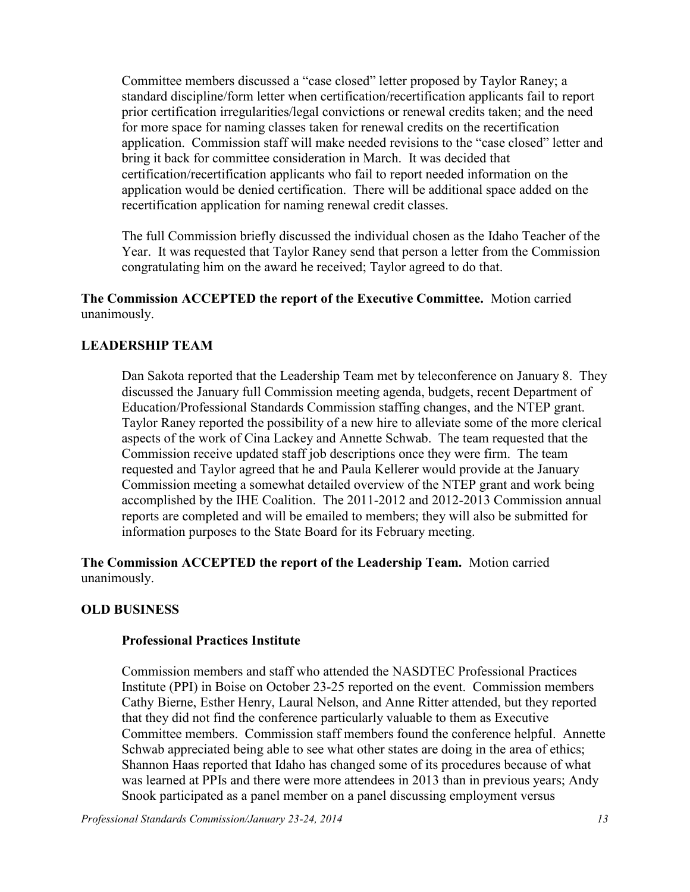Committee members discussed a "case closed" letter proposed by Taylor Raney; a standard discipline/form letter when certification/recertification applicants fail to report prior certification irregularities/legal convictions or renewal credits taken; and the need for more space for naming classes taken for renewal credits on the recertification application. Commission staff will make needed revisions to the "case closed" letter and bring it back for committee consideration in March. It was decided that certification/recertification applicants who fail to report needed information on the application would be denied certification. There will be additional space added on the recertification application for naming renewal credit classes.

The full Commission briefly discussed the individual chosen as the Idaho Teacher of the Year. It was requested that Taylor Raney send that person a letter from the Commission congratulating him on the award he received; Taylor agreed to do that.

**The Commission ACCEPTED the report of the Executive Committee.** Motion carried unanimously.

### **LEADERSHIP TEAM**

Dan Sakota reported that the Leadership Team met by teleconference on January 8. They discussed the January full Commission meeting agenda, budgets, recent Department of Education/Professional Standards Commission staffing changes, and the NTEP grant. Taylor Raney reported the possibility of a new hire to alleviate some of the more clerical aspects of the work of Cina Lackey and Annette Schwab. The team requested that the Commission receive updated staff job descriptions once they were firm. The team requested and Taylor agreed that he and Paula Kellerer would provide at the January Commission meeting a somewhat detailed overview of the NTEP grant and work being accomplished by the IHE Coalition. The 2011-2012 and 2012-2013 Commission annual reports are completed and will be emailed to members; they will also be submitted for information purposes to the State Board for its February meeting.

**The Commission ACCEPTED the report of the Leadership Team.** Motion carried unanimously.

#### **OLD BUSINESS**

#### **Professional Practices Institute**

Commission members and staff who attended the NASDTEC Professional Practices Institute (PPI) in Boise on October 23-25 reported on the event. Commission members Cathy Bierne, Esther Henry, Laural Nelson, and Anne Ritter attended, but they reported that they did not find the conference particularly valuable to them as Executive Committee members. Commission staff members found the conference helpful. Annette Schwab appreciated being able to see what other states are doing in the area of ethics; Shannon Haas reported that Idaho has changed some of its procedures because of what was learned at PPIs and there were more attendees in 2013 than in previous years; Andy Snook participated as a panel member on a panel discussing employment versus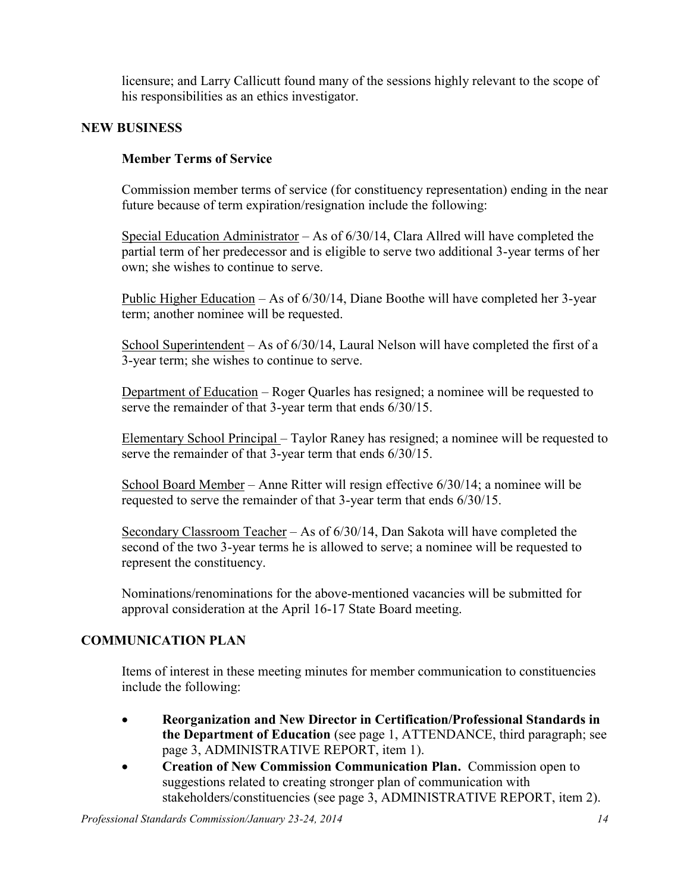licensure; and Larry Callicutt found many of the sessions highly relevant to the scope of his responsibilities as an ethics investigator.

### **NEW BUSINESS**

## **Member Terms of Service**

Commission member terms of service (for constituency representation) ending in the near future because of term expiration/resignation include the following:

Special Education Administrator – As of 6/30/14, Clara Allred will have completed the partial term of her predecessor and is eligible to serve two additional 3-year terms of her own; she wishes to continue to serve.

Public Higher Education – As of 6/30/14, Diane Boothe will have completed her 3-year term; another nominee will be requested.

School Superintendent – As of 6/30/14, Laural Nelson will have completed the first of a 3-year term; she wishes to continue to serve.

Department of Education – Roger Quarles has resigned; a nominee will be requested to serve the remainder of that 3-year term that ends  $6/30/15$ .

Elementary School Principal – Taylor Raney has resigned; a nominee will be requested to serve the remainder of that 3-year term that ends  $6/30/15$ .

School Board Member – Anne Ritter will resign effective 6/30/14; a nominee will be requested to serve the remainder of that 3-year term that ends 6/30/15.

Secondary Classroom Teacher – As of 6/30/14, Dan Sakota will have completed the second of the two 3-year terms he is allowed to serve; a nominee will be requested to represent the constituency.

Nominations/renominations for the above-mentioned vacancies will be submitted for approval consideration at the April 16-17 State Board meeting.

## **COMMUNICATION PLAN**

Items of interest in these meeting minutes for member communication to constituencies include the following:

- **Reorganization and New Director in Certification/Professional Standards in the Department of Education** (see page 1, ATTENDANCE, third paragraph; see page 3, ADMINISTRATIVE REPORT, item 1).
- **Creation of New Commission Communication Plan.** Commission open to suggestions related to creating stronger plan of communication with stakeholders/constituencies (see page 3, ADMINISTRATIVE REPORT, item 2).